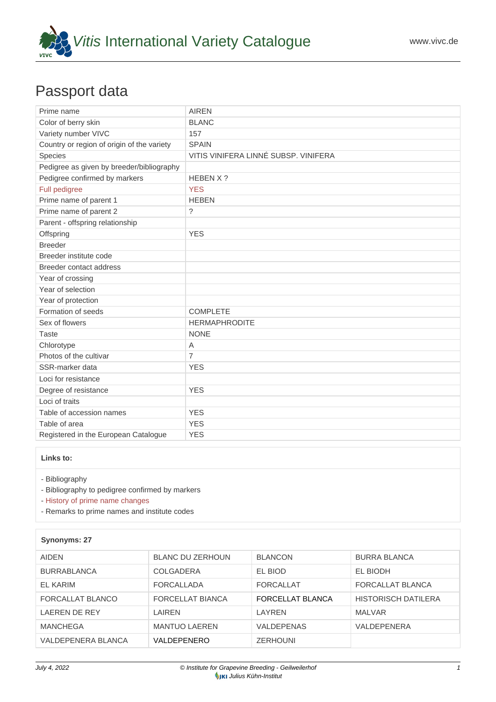

## Passport data

| Prime name                                 | <b>AIREN</b>                         |
|--------------------------------------------|--------------------------------------|
| Color of berry skin                        | <b>BLANC</b>                         |
| Variety number VIVC                        | 157                                  |
| Country or region of origin of the variety | <b>SPAIN</b>                         |
| Species                                    | VITIS VINIFERA LINNÉ SUBSP. VINIFERA |
| Pedigree as given by breeder/bibliography  |                                      |
| Pedigree confirmed by markers              | HEBEN X ?                            |
| Full pedigree                              | <b>YES</b>                           |
| Prime name of parent 1                     | <b>HEBEN</b>                         |
| Prime name of parent 2                     | $\gamma$                             |
| Parent - offspring relationship            |                                      |
| Offspring                                  | <b>YES</b>                           |
| <b>Breeder</b>                             |                                      |
| Breeder institute code                     |                                      |
| Breeder contact address                    |                                      |
| Year of crossing                           |                                      |
| Year of selection                          |                                      |
| Year of protection                         |                                      |
| Formation of seeds                         | <b>COMPLETE</b>                      |
| Sex of flowers                             | <b>HERMAPHRODITE</b>                 |
| <b>Taste</b>                               | <b>NONE</b>                          |
| Chlorotype                                 | A                                    |
| Photos of the cultivar                     | $\overline{7}$                       |
| SSR-marker data                            | <b>YES</b>                           |
| Loci for resistance                        |                                      |
| Degree of resistance                       | <b>YES</b>                           |
| Loci of traits                             |                                      |
| Table of accession names                   | <b>YES</b>                           |
| Table of area                              | <b>YES</b>                           |
| Registered in the European Catalogue       | <b>YES</b>                           |

## **Links to:**

- [Bibliography](https://www.vivc.de/index.php?r=literaturverweise%2Fbibliography&LiteraturverweiseSearch[kenn_nr2]=157&LiteraturverweiseSearch[leitname2]=AIREN)

- [Bibliography to pedigree confirmed by markers](https://www.vivc.de/index.php?var=157&r=eva-analysis-mikrosatelliten-abstammungen%2Findex)

- [History of prime name changes](https://www.vivc.de/index.php?HistorieSearch[kenn_nr_neu2]=157&r=historie%2Findex1&sort=leitname_neu)

- [Remarks to prime names and institute codes](#page--1-0)

| Synonyms: 27       |                      |                   |                            |
|--------------------|----------------------|-------------------|----------------------------|
| <b>AIDEN</b>       | BLANC DU ZERHOUN     | <b>BLANCON</b>    | <b>BURRA BLANCA</b>        |
| <b>BURRABLANCA</b> | COLGADERA            | EL BIOD           | EL BIODH                   |
| EL KARIM           | FORCALLADA           | <b>FORCALLAT</b>  | FORCALLAT BLANCA           |
| FORCALLAT BLANCO   | FORCELLAT BIANCA     | FORCELLAT BLANCA  | <b>HISTORISCH DATILERA</b> |
| LAEREN DE REY      | LAIREN               | LAYREN            | MALVAR                     |
| <b>MANCHEGA</b>    | <b>MANTUO LAEREN</b> | <b>VALDEPENAS</b> | VALDEPENERA                |
| VALDEPENERA BLANCA | VALDEPENERO          | <b>ZERHOUNI</b>   |                            |